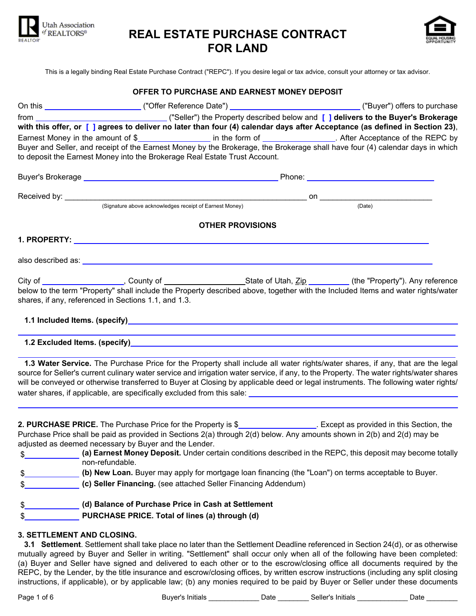

# **REAL ESTATE PURCHASE CONTRACT FOR LAND**



This is a legally binding Real Estate Purchase Contract ("REPC"). If you desire legal or tax advice, consult your attorney or tax advisor.

|                                                      | with this offer, or [ ] agrees to deliver no later than four (4) calendar days after Acceptance (as defined in Section 23),                                                                                                                                                   |        |
|------------------------------------------------------|-------------------------------------------------------------------------------------------------------------------------------------------------------------------------------------------------------------------------------------------------------------------------------|--------|
|                                                      | Earnest Money in the amount of \$__________________ in the form of ________________. After Acceptance of the REPC by                                                                                                                                                          |        |
|                                                      | Buyer and Seller, and receipt of the Earnest Money by the Brokerage, the Brokerage shall have four (4) calendar days in which                                                                                                                                                 |        |
|                                                      | to deposit the Earnest Money into the Brokerage Real Estate Trust Account.                                                                                                                                                                                                    |        |
|                                                      |                                                                                                                                                                                                                                                                               |        |
|                                                      |                                                                                                                                                                                                                                                                               |        |
|                                                      | (Signature above acknowledges receipt of Earnest Money)                                                                                                                                                                                                                       | (Date) |
|                                                      | <b>OTHER PROVISIONS</b>                                                                                                                                                                                                                                                       |        |
|                                                      |                                                                                                                                                                                                                                                                               |        |
|                                                      |                                                                                                                                                                                                                                                                               |        |
|                                                      |                                                                                                                                                                                                                                                                               |        |
| shares, if any, referenced in Sections 1.1, and 1.3. | below to the term "Property" shall include the Property described above, together with the Included Items and water rights/water                                                                                                                                              |        |
|                                                      |                                                                                                                                                                                                                                                                               |        |
|                                                      |                                                                                                                                                                                                                                                                               |        |
|                                                      | 1.3 Water Service. The Purchase Price for the Property shall include all water rights/water shares, if any, that are the legal                                                                                                                                                |        |
|                                                      | source for Seller's current culinary water service and irrigation water service, if any, to the Property. The water rights/water shares<br>will be conveyed or otherwise transferred to Buyer at Closing by applicable deed or legal instruments. The following water rights/ |        |
|                                                      |                                                                                                                                                                                                                                                                               |        |
|                                                      | 2. PURCHASE PRICE. The Purchase Price for the Property is \$____________________. Except as provided in this Section, the                                                                                                                                                     |        |
|                                                      |                                                                                                                                                                                                                                                                               |        |

Purchase Price shall be paid as provided in Sections 2(a) through 2(d) below. Any amounts shown in 2(b) and 2(d) may be adjusted as deemed necessary by Buyer and the Lender.

\$ **(a) Earnest Money Deposit.** Under certain conditions described in the REPC, this deposit may become totally non-refundable.

| - AD |  |  |  |  |  | (b) New Loan. Buyer may apply for mortgage loan financing (the "Loan") on terms acceptable to Buyer. |
|------|--|--|--|--|--|------------------------------------------------------------------------------------------------------|
|------|--|--|--|--|--|------------------------------------------------------------------------------------------------------|

\$ **(c) Seller Financing.** (see attached Seller Financing Addendum)

\$ **(d) Balance of Purchase Price in Cash at Settlement** \$ **PURCHASE PRICE. Total of lines (a) through (d)**

# **3. SETTLEMENT AND CLOSING.**

**3.1 Settlement**. Settlement shall take place no later than the Settlement Deadline referenced in Section 24(d), or as otherwise mutually agreed by Buyer and Seller in writing. "Settlement" shall occur only when all of the following have been completed: (a) Buyer and Seller have signed and delivered to each other or to the escrow/closing office all documents required by the REPC, by the Lender, by the title insurance and escrow/closing offices, by written escrow instructions (including any split closing instructions, if applicable), or by applicable law; (b) any monies required to be paid by Buyer or Seller under these documents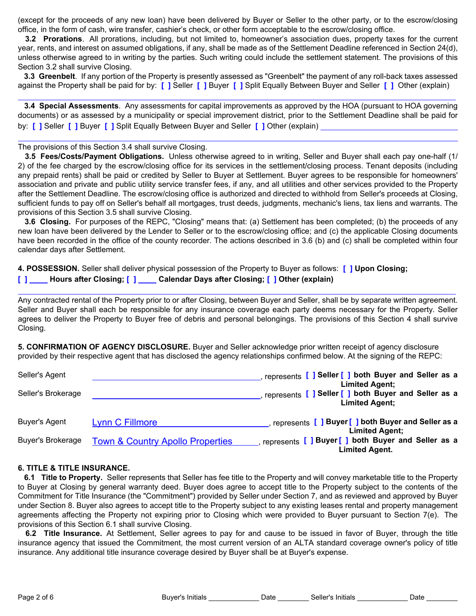(except for the proceeds of any new loan) have been delivered by Buyer or Seller to the other party, or to the escrow/closing office, in the form of cash, wire transfer, cashier's check, or other form acceptable to the escrow/closing office.

**3.2 Prorations**. All prorations, including, but not limited to, homeowner's association dues, property taxes for the current year, rents, and interest on assumed obligations, if any, shall be made as of the Settlement Deadline referenced in Section 24(d), unless otherwise agreed to in writing by the parties. Such writing could include the settlement statement. The provisions of this Section 3.2 shall survive Closing.

**3.3 Greenbelt**. If any portion of the Property is presently assessed as "Greenbelt" the payment of any roll-back taxes assessed against the Property shall be paid for by: **[ ]** Seller **[ ]** Buyer **[ ]** Split Equally Between Buyer and Seller **[ ]** Other (explain)

**3.4 Special Assessments**. Any assessments for capital improvements as approved by the HOA (pursuant to HOA governing documents) or as assessed by a municipality or special improvement district, prior to the Settlement Deadline shall be paid for by: **[ ]** Seller **[ ]** Buyer **[ ]** Split Equally Between Buyer and Seller **[ ]** Other (explain)

The provisions of this Section 3.4 shall survive Closing.

**3.5 Fees/Costs/Payment Obligations.** Unless otherwise agreed to in writing, Seller and Buyer shall each pay one-half (1/ 2) of the fee charged by the escrow/closing office for its services in the settlement/closing process. Tenant deposits (including any prepaid rents) shall be paid or credited by Seller to Buyer at Settlement. Buyer agrees to be responsible for homeowners' association and private and public utility service transfer fees, if any, and all utilities and other services provided to the Property after the Settlement Deadline. The escrow/closing office is authorized and directed to withhold from Seller's proceeds at Closing, sufficient funds to pay off on Seller's behalf all mortgages, trust deeds, judgments, mechanic's liens, tax liens and warrants. The provisions of this Section 3.5 shall survive Closing.

**3.6 Closing.** For purposes of the REPC, "Closing" means that: (a) Settlement has been completed; (b) the proceeds of any new loan have been delivered by the Lender to Seller or to the escrow/closing office; and (c) the applicable Closing documents have been recorded in the office of the county recorder. The actions described in 3.6 (b) and (c) shall be completed within four calendar days after Settlement.

**4. POSSESSION.** Seller shall deliver physical possession of the Property to Buyer as follows: **[ ] Upon Closing; [ ] Hours after Closing; [ ] Calendar Days after Closing; [ ] Other (explain)**

Any contracted rental of the Property prior to or after Closing, between Buyer and Seller, shall be by separate written agreement. Seller and Buyer shall each be responsible for any insurance coverage each party deems necessary for the Property. Seller agrees to deliver the Property to Buyer free of debris and personal belongings. The provisions of this Section 4 shall survive Closing.

**5. CONFIRMATION OF AGENCY DISCLOSURE.** Buyer and Seller acknowledge prior written receipt of agency disclosure provided by their respective agent that has disclosed the agency relationships confirmed below. At the signing of the REPC:

| Seller's Agent           |                                             | represents [ ] Seller [ ] both Buyer and Seller as a                                                   |
|--------------------------|---------------------------------------------|--------------------------------------------------------------------------------------------------------|
| Seller's Brokerage       |                                             | <b>Limited Agent;</b><br>represents [ ] Seller [ ] both Buyer and Seller as a<br><b>Limited Agent;</b> |
| Buyer's Agent            | <b>Lynn C Fillmore</b>                      | represents [ ] Buyer [ ] both Buyer and Seller as a<br><b>Limited Agent;</b>                           |
| <b>Buyer's Brokerage</b> | <b>Town &amp; Country Apollo Properties</b> | represents [ ] Buyer [ ] both Buyer and Seller as a<br><b>Limited Agent.</b>                           |

#### **6. TITLE & TITLE INSURANCE.**

**6.1 Title to Property.** Seller represents that Seller has fee title to the Property and will convey marketable title to the Property to Buyer at Closing by general warranty deed. Buyer does agree to accept title to the Property subject to the contents of the Commitment for Title Insurance (the "Commitment") provided by Seller under Section 7, and as reviewed and approved by Buyer under Section 8. Buyer also agrees to accept title to the Property subject to any existing leases rental and property management agreements affecting the Property not expiring prior to Closing which were provided to Buyer pursuant to Section 7(e). The provisions of this Section 6.1 shall survive Closing.

**6.2 Title Insurance.** At Settlement, Seller agrees to pay for and cause to be issued in favor of Buyer, through the title insurance agency that issued the Commitment, the most current version of an ALTA standard coverage owner's policy of title insurance. Any additional title insurance coverage desired by Buyer shall be at Buyer's expense.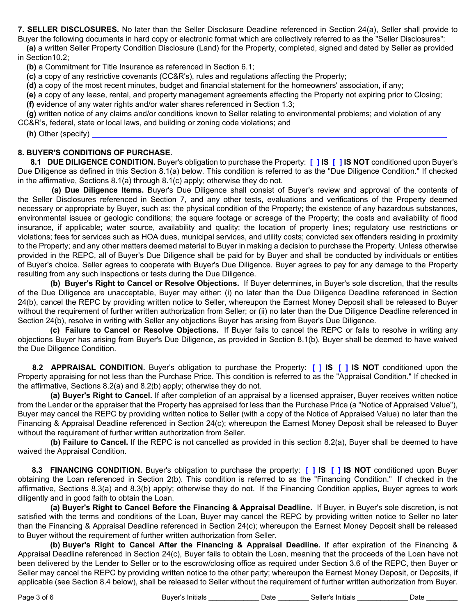**7. SELLER DISCLOSURES.** No later than the Seller Disclosure Deadline referenced in Section 24(a), Seller shall provide to

Buyer the following documents in hard copy or electronic format which are collectively referred to as the "Seller Disclosures": **(a)** a written Seller Property Condition Disclosure (Land) for the Property, completed, signed and dated by Seller as provided

in Section10.2;

**(b)** a Commitment for Title Insurance as referenced in Section 6.1;

**(c)** a copy of any restrictive covenants (CC&R's), rules and regulations affecting the Property;

**(d)** a copy of the most recent minutes, budget and financial statement for the homeowners' association, if any;

**(e)** a copy of any lease, rental, and property management agreements affecting the Property not expiring prior to Closing; **(f)** evidence of any water rights and/or water shares referenced in Section 1.3;

**(g)** written notice of any claims and/or conditions known to Seller relating to environmental problems; and violation of any CC&R's, federal, state or local laws, and building or zoning code violations; and

**(h)** Other (specify)

# **8. BUYER'S CONDITIONS OF PURCHASE.**

**8.1 DUE DILIGENCE CONDITION.** Buyer's obligation to purchase the Property: **[ ] IS [ ] IS NOT** conditioned upon Buyer's Due Diligence as defined in this Section 8.1(a) below. This condition is referred to as the "Due Diligence Condition." If checked in the affirmative, Sections 8.1(a) through 8.1(c) apply; otherwise they do not.

**(a) Due Diligence Items.** Buyer's Due Diligence shall consist of Buyer's review and approval of the contents of the Seller Disclosures referenced in Section 7, and any other tests, evaluations and verifications of the Property deemed necessary or appropriate by Buyer, such as: the physical condition of the Property; the existence of any hazardous substances, environmental issues or geologic conditions; the square footage or acreage of the Property; the costs and availability of flood insurance, if applicable; water source, availability and quality; the location of property lines; regulatory use restrictions or violations; fees for services such as HOA dues, municipal services, and utility costs; convicted sex offenders residing in proximity to the Property; and any other matters deemed material to Buyer in making a decision to purchase the Property. Unless otherwise provided in the REPC, all of Buyer's Due Diligence shall be paid for by Buyer and shall be conducted by individuals or entities of Buyer's choice. Seller agrees to cooperate with Buyer's Due Diligence. Buyer agrees to pay for any damage to the Property resulting from any such inspections or tests during the Due Diligence.

**(b) Buyer's Right to Cancel or Resolve Objections.** If Buyer determines, in Buyer's sole discretion, that the results of the Due Diligence are unacceptable, Buyer may either: (i) no later than the Due Diligence Deadline referenced in Section 24(b), cancel the REPC by providing written notice to Seller, whereupon the Earnest Money Deposit shall be released to Buyer without the requirement of further written authorization from Seller; or (ii) no later than the Due Diligence Deadline referenced in Section 24(b), resolve in writing with Seller any objections Buyer has arising from Buyer's Due Diligence.

**(c) Failure to Cancel or Resolve Objections.** If Buyer fails to cancel the REPC or fails to resolve in writing any objections Buyer has arising from Buyer's Due Diligence, as provided in Section 8.1(b), Buyer shall be deemed to have waived the Due Diligence Condition.

**8.2 APPRAISAL CONDITION.** Buyer's obligation to purchase the Property: **[ ] IS [ ] IS NOT** conditioned upon the Property appraising for not less than the Purchase Price. This condition is referred to as the "Appraisal Condition." If checked in the affirmative, Sections 8.2(a) and 8.2(b) apply; otherwise they do not.

**(a) Buyer's Right to Cancel.** If after completion of an appraisal by a licensed appraiser, Buyer receives written notice from the Lender or the appraiser that the Property has appraised for less than the Purchase Price (a "Notice of Appraised Value"), Buyer may cancel the REPC by providing written notice to Seller (with a copy of the Notice of Appraised Value) no later than the Financing & Appraisal Deadline referenced in Section 24(c); whereupon the Earnest Money Deposit shall be released to Buyer without the requirement of further written authorization from Seller.

**(b) Failure to Cancel.** If the REPC is not cancelled as provided in this section 8.2(a), Buyer shall be deemed to have waived the Appraisal Condition.

**8.3 FINANCING CONDITION.** Buyer's obligation to purchase the property: **[ ] IS [ ] IS NOT** conditioned upon Buyer obtaining the Loan referenced in Section 2(b). This condition is referred to as the "Financing Condition." If checked in the affirmative, Sections 8.3(a) and 8.3(b) apply; otherwise they do not. If the Financing Condition applies, Buyer agrees to work diligently and in good faith to obtain the Loan.

**(a) Buyer's Right to Cancel Before the Financing & Appraisal Deadline.** If Buyer, in Buyer's sole discretion, is not satisfied with the terms and conditions of the Loan, Buyer may cancel the REPC by providing written notice to Seller no later than the Financing & Appraisal Deadline referenced in Section 24(c); whereupon the Earnest Money Deposit shall be released to Buyer without the requirement of further written authorization from Seller.

**(b) Buyer's Right to Cancel After the Financing & Appraisal Deadline.** If after expiration of the Financing & Appraisal Deadline referenced in Section 24(c), Buyer fails to obtain the Loan, meaning that the proceeds of the Loan have not been delivered by the Lender to Seller or to the escrow/closing office as required under Section 3.6 of the REPC, then Buyer or Seller may cancel the REPC by providing written notice to the other party; whereupon the Earnest Money Deposit, or Deposits, if applicable (see Section 8.4 below), shall be released to Seller without the requirement of further written authorization from Buyer.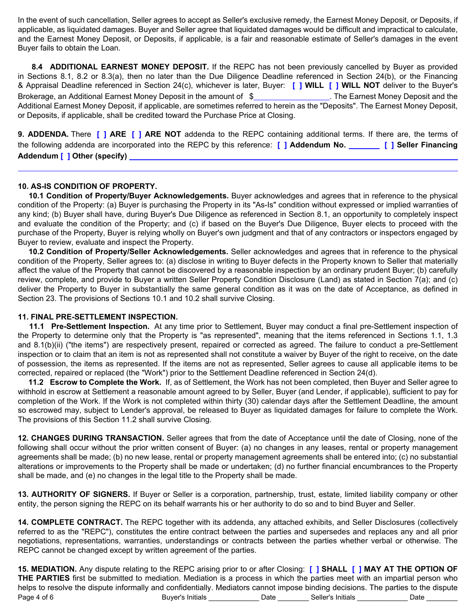In the event of such cancellation, Seller agrees to accept as Seller's exclusive remedy, the Earnest Money Deposit, or Deposits, if applicable, as liquidated damages. Buyer and Seller agree that liquidated damages would be difficult and impractical to calculate, and the Earnest Money Deposit, or Deposits, if applicable, is a fair and reasonable estimate of Seller's damages in the event Buyer fails to obtain the Loan.

**8.4 ADDITIONAL EARNEST MONEY DEPOSIT.** If the REPC has not been previously cancelled by Buyer as provided in Sections 8.1, 8.2 or 8.3(a), then no later than the Due Diligence Deadline referenced in Section 24(b), or the Financing & Appraisal Deadline referenced in Section 24(c), whichever is later, Buyer: **[ ] WILL [ ] WILL NOT** deliver to the Buyer's Brokerage, an Additional Earnest Money Deposit in the amount of  $\$ Additional Earnest Money Deposit, if applicable, are sometimes referred to herein as the "Deposits". The Earnest Money Deposit, or Deposits, if applicable, shall be credited toward the Purchase Price at Closing.

**9. ADDENDA.** There **[ ] ARE [ ] ARE NOT** addenda to the REPC containing additional terms. If there are, the terms of the following addenda are incorporated into the REPC by this reference: **[ ] Addendum No. [ ] Seller Financing Addendum [ ] Other (specify)**

## **10. AS-IS CONDITION OF PROPERTY.**

**10.1 Condition of Property/Buyer Acknowledgements.** Buyer acknowledges and agrees that in reference to the physical condition of the Property: (a) Buyer is purchasing the Property in its "As-Is" condition without expressed or implied warranties of any kind; (b) Buyer shall have, during Buyer's Due Diligence as referenced in Section 8.1, an opportunity to completely inspect and evaluate the condition of the Property; and (c) if based on the Buyer's Due Diligence, Buyer elects to proceed with the purchase of the Property, Buyer is relying wholly on Buyer's own judgment and that of any contractors or inspectors engaged by Buyer to review, evaluate and inspect the Property.

**10.2 Condition of Property/Seller Acknowledgements.** Seller acknowledges and agrees that in reference to the physical condition of the Property, Seller agrees to: (a) disclose in writing to Buyer defects in the Property known to Seller that materially affect the value of the Property that cannot be discovered by a reasonable inspection by an ordinary prudent Buyer; (b) carefully review, complete, and provide to Buyer a written Seller Property Condition Disclosure (Land) as stated in Section 7(a); and (c) deliver the Property to Buyer in substantially the same general condition as it was on the date of Acceptance, as defined in Section 23. The provisions of Sections 10.1 and 10.2 shall survive Closing.

#### **11. FINAL PRE-SETTLEMENT INSPECTION.**

**11.1 Pre-Settlement Inspection.** At any time prior to Settlement, Buyer may conduct a final pre-Settlement inspection of the Property to determine only that the Property is "as represented", meaning that the items referenced in Sections 1.1, 1.3 and 8.1(b)(ii) ("the items") are respectively present, repaired or corrected as agreed. The failure to conduct a pre-Settlement inspection or to claim that an item is not as represented shall not constitute a waiver by Buyer of the right to receive, on the date of possession, the items as represented. If the items are not as represented, Seller agrees to cause all applicable items to be corrected, repaired or replaced (the "Work") prior to the Settlement Deadline referenced in Section 24(d).

**11.2 Escrow to Complete the Work.** If, as of Settlement, the Work has not been completed, then Buyer and Seller agree to withhold in escrow at Settlement a reasonable amount agreed to by Seller, Buyer (and Lender, if applicable), sufficient to pay for completion of the Work. If the Work is not completed within thirty (30) calendar days after the Settlement Deadline, the amount so escrowed may, subject to Lender's approval, be released to Buyer as liquidated damages for failure to complete the Work. The provisions of this Section 11.2 shall survive Closing.

**12. CHANGES DURING TRANSACTION.** Seller agrees that from the date of Acceptance until the date of Closing, none of the following shall occur without the prior written consent of Buyer: (a) no changes in any leases, rental or property management agreements shall be made; (b) no new lease, rental or property management agreements shall be entered into; (c) no substantial alterations or improvements to the Property shall be made or undertaken; (d) no further financial encumbrances to the Property shall be made, and (e) no changes in the legal title to the Property shall be made.

**13. AUTHORITY OF SIGNERS.** If Buyer or Seller is a corporation, partnership, trust, estate, limited liability company or other entity, the person signing the REPC on its behalf warrants his or her authority to do so and to bind Buyer and Seller.

**14. COMPLETE CONTRACT.** The REPC together with its addenda, any attached exhibits, and Seller Disclosures (collectively referred to as the "REPC"), constitutes the entire contract between the parties and supersedes and replaces any and all prior negotiations, representations, warranties, understandings or contracts between the parties whether verbal or otherwise. The REPC cannot be changed except by written agreement of the parties.

**15. MEDIATION.** Any dispute relating to the REPC arising prior to or after Closing: **[ ] SHALL [ ] MAY AT THE OPTION OF THE PARTIES** first be submitted to mediation. Mediation is a process in which the parties meet with an impartial person who helps to resolve the dispute informally and confidentially. Mediators cannot impose binding decisions. The parties to the dispute Page 4 of 6 **Buyer's Initials Buyer's Initials Date Seller's Initials Date Date**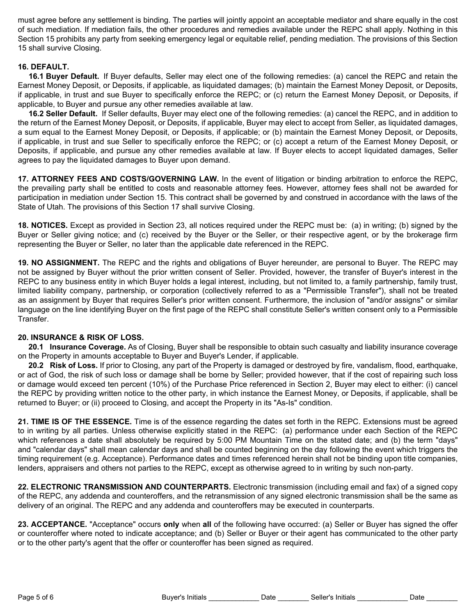must agree before any settlement is binding. The parties will jointly appoint an acceptable mediator and share equally in the cost of such mediation. If mediation fails, the other procedures and remedies available under the REPC shall apply. Nothing in this Section 15 prohibits any party from seeking emergency legal or equitable relief, pending mediation. The provisions of this Section 15 shall survive Closing.

# **16. DEFAULT.**

**16.1 Buyer Default.** If Buyer defaults, Seller may elect one of the following remedies: (a) cancel the REPC and retain the Earnest Money Deposit, or Deposits, if applicable, as liquidated damages; (b) maintain the Earnest Money Deposit, or Deposits, if applicable, in trust and sue Buyer to specifically enforce the REPC; or (c) return the Earnest Money Deposit, or Deposits, if applicable, to Buyer and pursue any other remedies available at law.

**16.2 Seller Default.** If Seller defaults, Buyer may elect one of the following remedies: (a) cancel the REPC, and in addition to the return of the Earnest Money Deposit, or Deposits, if applicable, Buyer may elect to accept from Seller, as liquidated damages, a sum equal to the Earnest Money Deposit, or Deposits, if applicable; or (b) maintain the Earnest Money Deposit, or Deposits, if applicable, in trust and sue Seller to specifically enforce the REPC; or (c) accept a return of the Earnest Money Deposit, or Deposits, if applicable, and pursue any other remedies available at law. If Buyer elects to accept liquidated damages, Seller agrees to pay the liquidated damages to Buyer upon demand.

**17. ATTORNEY FEES AND COSTS/GOVERNING LAW.** In the event of litigation or binding arbitration to enforce the REPC, the prevailing party shall be entitled to costs and reasonable attorney fees. However, attorney fees shall not be awarded for participation in mediation under Section 15. This contract shall be governed by and construed in accordance with the laws of the State of Utah. The provisions of this Section 17 shall survive Closing.

**18. NOTICES.** Except as provided in Section 23, all notices required under the REPC must be: (a) in writing; (b) signed by the Buyer or Seller giving notice; and (c) received by the Buyer or the Seller, or their respective agent, or by the brokerage firm representing the Buyer or Seller, no later than the applicable date referenced in the REPC.

**19. NO ASSIGNMENT.** The REPC and the rights and obligations of Buyer hereunder, are personal to Buyer. The REPC may not be assigned by Buyer without the prior written consent of Seller. Provided, however, the transfer of Buyer's interest in the REPC to any business entity in which Buyer holds a legal interest, including, but not limited to, a family partnership, family trust, limited liability company, partnership, or corporation (collectively referred to as a "Permissible Transfer"), shall not be treated as an assignment by Buyer that requires Seller's prior written consent. Furthermore, the inclusion of "and/or assigns" or similar language on the line identifying Buyer on the first page of the REPC shall constitute Seller's written consent only to a Permissible Transfer.

#### **20. INSURANCE & RISK OF LOSS.**

**20.1 Insurance Coverage.** As of Closing, Buyer shall be responsible to obtain such casualty and liability insurance coverage on the Property in amounts acceptable to Buyer and Buyer's Lender, if applicable.

**20.2 Risk of Loss.** If prior to Closing, any part of the Property is damaged or destroyed by fire, vandalism, flood, earthquake, or act of God, the risk of such loss or damage shall be borne by Seller; provided however, that if the cost of repairing such loss or damage would exceed ten percent (10%) of the Purchase Price referenced in Section 2, Buyer may elect to either: (i) cancel the REPC by providing written notice to the other party, in which instance the Earnest Money, or Deposits, if applicable, shall be returned to Buyer; or (ii) proceed to Closing, and accept the Property in its "As-Is" condition.

**21. TIME IS OF THE ESSENCE.** Time is of the essence regarding the dates set forth in the REPC. Extensions must be agreed to in writing by all parties. Unless otherwise explicitly stated in the REPC: (a) performance under each Section of the REPC which references a date shall absolutely be required by 5:00 PM Mountain Time on the stated date; and (b) the term "days" and "calendar days" shall mean calendar days and shall be counted beginning on the day following the event which triggers the timing requirement (e.g. Acceptance). Performance dates and times referenced herein shall not be binding upon title companies, lenders, appraisers and others not parties to the REPC, except as otherwise agreed to in writing by such non-party.

**22. ELECTRONIC TRANSMISSION AND COUNTERPARTS.** Electronic transmission (including email and fax) of a signed copy of the REPC, any addenda and counteroffers, and the retransmission of any signed electronic transmission shall be the same as delivery of an original. The REPC and any addenda and counteroffers may be executed in counterparts.

**23. ACCEPTANCE.** "Acceptance" occurs **only** when **all** of the following have occurred: (a) Seller or Buyer has signed the offer or counteroffer where noted to indicate acceptance; and (b) Seller or Buyer or their agent has communicated to the other party or to the other party's agent that the offer or counteroffer has been signed as required.